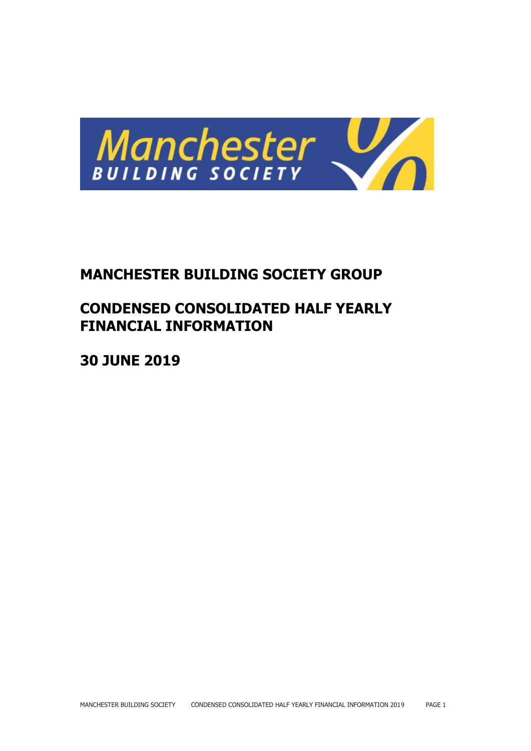

# **MANCHESTER BUILDING SOCIETY GROUP**

# **CONDENSED CONSOLIDATED HALF YEARLY FINANCIAL INFORMATION**

**30 JUNE 2019**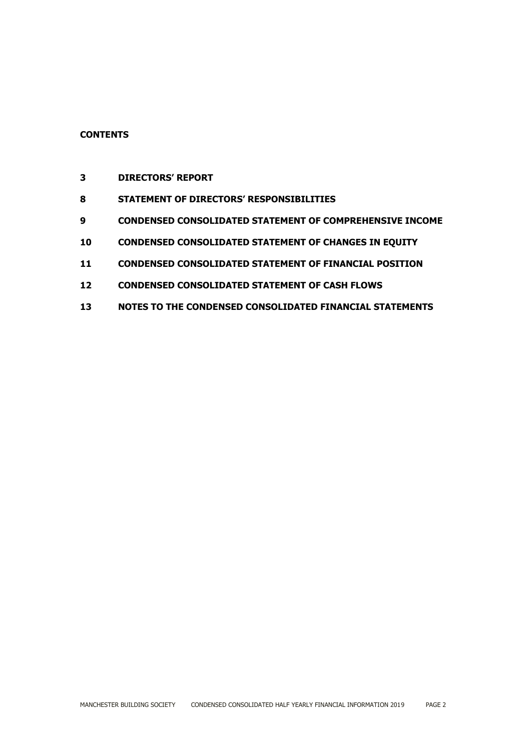## **CONTENTS**

- **DIRECTORS' REPORT**
- **STATEMENT OF DIRECTORS' RESPONSIBILITIES**
- **CONDENSED CONSOLIDATED STATEMENT OF COMPREHENSIVE INCOME**
- **CONDENSED CONSOLIDATED STATEMENT OF CHANGES IN EQUITY**
- **CONDENSED CONSOLIDATED STATEMENT OF FINANCIAL POSITION**
- **CONDENSED CONSOLIDATED STATEMENT OF CASH FLOWS**
- **NOTES TO THE CONDENSED CONSOLIDATED FINANCIAL STATEMENTS**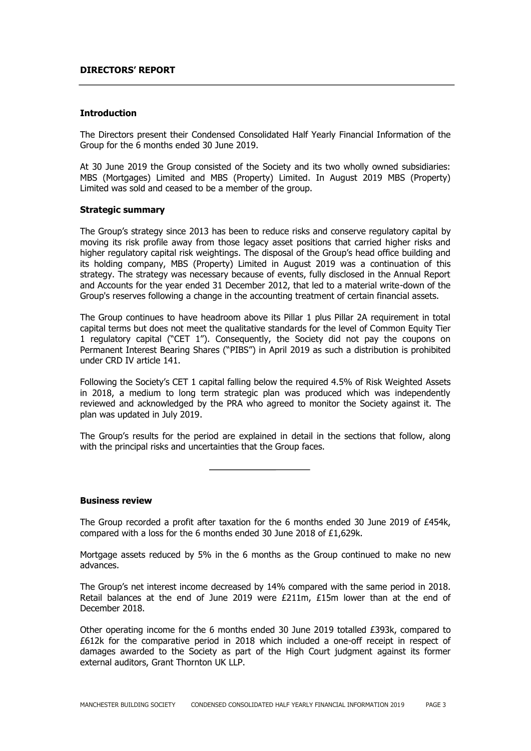#### **DIRECTORS' REPORT**

#### **Introduction**

The Directors present their Condensed Consolidated Half Yearly Financial Information of the Group for the 6 months ended 30 June 2019.

At 30 June 2019 the Group consisted of the Society and its two wholly owned subsidiaries: MBS (Mortgages) Limited and MBS (Property) Limited. In August 2019 MBS (Property) Limited was sold and ceased to be a member of the group.

#### **Strategic summary**

The Group's strategy since 2013 has been to reduce risks and conserve regulatory capital by moving its risk profile away from those legacy asset positions that carried higher risks and higher regulatory capital risk weightings. The disposal of the Group's head office building and its holding company, MBS (Property) Limited in August 2019 was a continuation of this strategy. The strategy was necessary because of events, fully disclosed in the Annual Report and Accounts for the year ended 31 December 2012, that led to a material write-down of the Group's reserves following a change in the accounting treatment of certain financial assets.

The Group continues to have headroom above its Pillar 1 plus Pillar 2A requirement in total capital terms but does not meet the qualitative standards for the level of Common Equity Tier 1 regulatory capital ("CET 1"). Consequently, the Society did not pay the coupons on Permanent Interest Bearing Shares ("PIBS") in April 2019 as such a distribution is prohibited under CRD IV article 141.

Following the Society's CET 1 capital falling below the required 4.5% of Risk Weighted Assets in 2018, a medium to long term strategic plan was produced which was independently reviewed and acknowledged by the PRA who agreed to monitor the Society against it. The plan was updated in July 2019.

The Group's results for the period are explained in detail in the sections that follow, along with the principal risks and uncertainties that the Group faces.

#### **Business review**

The Group recorded a profit after taxation for the 6 months ended 30 June 2019 of £454k, compared with a loss for the 6 months ended 30 June 2018 of £1,629k.

Mortgage assets reduced by 5% in the 6 months as the Group continued to make no new advances.

The Group's net interest income decreased by 14% compared with the same period in 2018. Retail balances at the end of June 2019 were  $E211m$ ,  $E15m$  lower than at the end of December 2018.

Other operating income for the 6 months ended 30 June 2019 totalled £393k, compared to £612k for the comparative period in 2018 which included a one-off receipt in respect of damages awarded to the Society as part of the High Court judgment against its former external auditors, Grant Thornton UK LLP.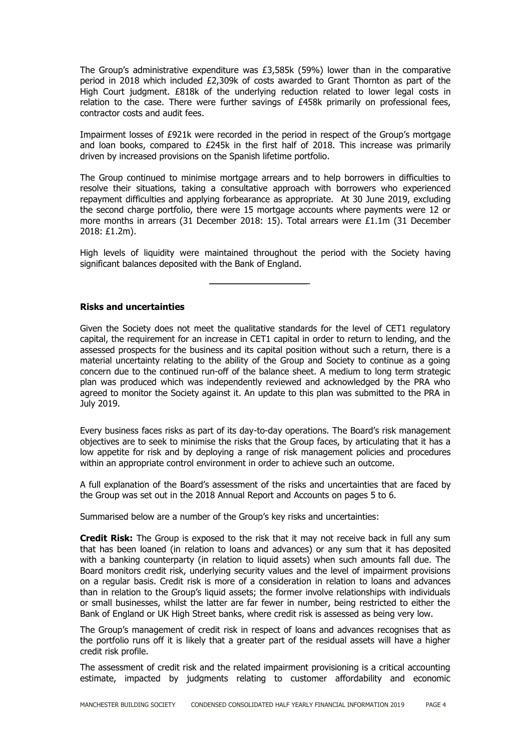The Group's administrative expenditure was  $£3,585k$  (59%) lower than in the comparative period in 2018 which included £2,309k of costs awarded to Grant Thornton as part of the High Court judgment. £818k of the underlying reduction related to lower legal costs in relation to the case. There were further savings of £458k primarily on professional fees, contractor costs and audit fees.

Impairment losses of £921k were recorded in the period in respect of the Group's mortgage and loan books, compared to  $£245k$  in the first half of 2018. This increase was primarily driven by increased provisions on the Spanish lifetime portfolio.

The Group continued to minimise mortgage arrears and to help borrowers in difficulties to resolve their situations, taking a consultative approach with borrowers who experienced repayment difficulties and applying forbearance as appropriate. At 30 June 2019, excluding the second charge portfolio, there were 15 mortgage accounts where payments were 12 or more months in arrears (31 December 2018: 15). Total arrears were £1.1m (31 December 2018: £1.2m).

High levels of liquidity were maintained throughout the period with the Society having significant balances deposited with the Bank of England.

**Risks and uncertainties**

Given the Society does not meet the qualitative standards for the level of CET1 regulatory capital, the requirement for an increase in CET1 capital in order to return to lending, and the assessed prospects for the business and its capital position without such a return, there is a material uncertainty relating to the ability of the Group and Society to continue as a going concern due to the continued run-off of the balance sheet. A medium to long term strategic plan was produced which was independently reviewed and acknowledged by the PRA who agreed to monitor the Society against it. An update to this plan was submitted to the PRA in July 2019.

Every business faces risks as part of its day-to-day operations. The Board's risk management objectives are to seek to minimise the risks that the Group faces, by articulating that it has a low appetite for risk and by deploying a range of risk management policies and procedures within an appropriate control environment in order to achieve such an outcome.

A full explanation of the Board's assessment of the risks and uncertainties that are faced by the Group was set out in the 2018 Annual Report and Accounts on pages 5 to 6.

Summarised below are a number of the Group's key risks and uncertainties:

**Credit Risk:** The Group is exposed to the risk that it may not receive back in full any sum that has been loaned (in relation to loans and advances) or any sum that it has deposited with a banking counterparty (in relation to liquid assets) when such amounts fall due. The Board monitors credit risk, underlying security values and the level of impairment provisions on a regular basis. Credit risk is more of a consideration in relation to loans and advances than in relation to the Group's liquid assets; the former involve relationships with individuals or small businesses, whilst the latter are far fewer in number, being restricted to either the Bank of England or UK High Street banks, where credit risk is assessed as being very low.

The Group's management of credit risk in respect of loans and advances recognises that as the portfolio runs off it is likely that a greater part of the residual assets will have a higher credit risk profile.

The assessment of credit risk and the related impairment provisioning is a critical accounting estimate, impacted by judgments relating to customer affordability and economic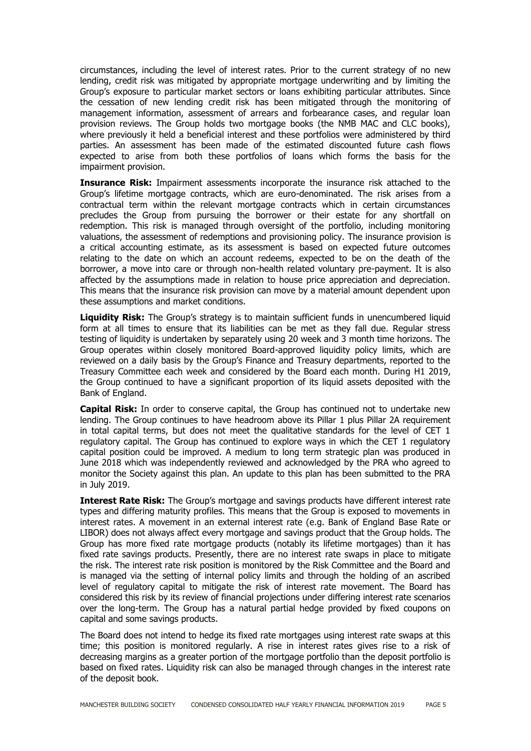circumstances, including the level of interest rates. Prior to the current strategy of no new lending, credit risk was mitigated by appropriate mortgage underwriting and by limiting the Group's exposure to particular market sectors or loans exhibiting particular attributes. Since the cessation of new lending credit risk has been mitigated through the monitoring of management information, assessment of arrears and forbearance cases, and regular loan provision reviews. The Group holds two mortgage books (the NMB MAC and CLC books), where previously it held a beneficial interest and these portfolios were administered by third parties. An assessment has been made of the estimated discounted future cash flows expected to arise from both these portfolios of loans which forms the basis for the impairment provision.

**Insurance Risk:** Impairment assessments incorporate the insurance risk attached to the Group's lifetime mortgage contracts, which are euro-denominated. The risk arises from a contractual term within the relevant mortgage contracts which in certain circumstances precludes the Group from pursuing the borrower or their estate for any shortfall on redemption. This risk is managed through oversight of the portfolio, including monitoring valuations, the assessment of redemptions and provisioning policy. The insurance provision is a critical accounting estimate, as its assessment is based on expected future outcomes relating to the date on which an account redeems, expected to be on the death of the borrower, a move into care or through non-health related voluntary pre-payment. It is also affected by the assumptions made in relation to house price appreciation and depreciation. This means that the insurance risk provision can move by a material amount dependent upon these assumptions and market conditions.

**Liquidity Risk:** The Group's strategy is to maintain sufficient funds in unencumbered liquid form at all times to ensure that its liabilities can be met as they fall due. Regular stress testing of liquidity is undertaken by separately using 20 week and 3 month time horizons. The Group operates within closely monitored Board-approved liquidity policy limits, which are reviewed on a daily basis by the Group's Finance and Treasury departments, reported to the Treasury Committee each week and considered by the Board each month. During H1 2019, the Group continued to have a significant proportion of its liquid assets deposited with the Bank of England.

**Capital Risk:** In order to conserve capital, the Group has continued not to undertake new lending. The Group continues to have headroom above its Pillar 1 plus Pillar 2A requirement in total capital terms, but does not meet the qualitative standards for the level of CET 1 regulatory capital. The Group has continued to explore ways in which the CET 1 regulatory capital position could be improved. A medium to long term strategic plan was produced in June 2018 which was independently reviewed and acknowledged by the PRA who agreed to monitor the Society against this plan. An update to this plan has been submitted to the PRA in July 2019.

**Interest Rate Risk:** The Group's mortgage and savings products have different interest rate types and differing maturity profiles. This means that the Group is exposed to movements in interest rates. A movement in an external interest rate (e.g. Bank of England Base Rate or LIBOR) does not always affect every mortgage and savings product that the Group holds. The Group has more fixed rate mortgage products (notably its lifetime mortgages) than it has fixed rate savings products. Presently, there are no interest rate swaps in place to mitigate the risk. The interest rate risk position is monitored by the Risk Committee and the Board and is managed via the setting of internal policy limits and through the holding of an ascribed level of regulatory capital to mitigate the risk of interest rate movement. The Board has considered this risk by its review of financial projections under differing interest rate scenarios over the long-term. The Group has a natural partial hedge provided by fixed coupons on capital and some savings products.

The Board does not intend to hedge its fixed rate mortgages using interest rate swaps at this time; this position is monitored regularly. A rise in interest rates gives rise to a risk of decreasing margins as a greater portion of the mortgage portfolio than the deposit portfolio is based on fixed rates. Liquidity risk can also be managed through changes in the interest rate of the deposit book.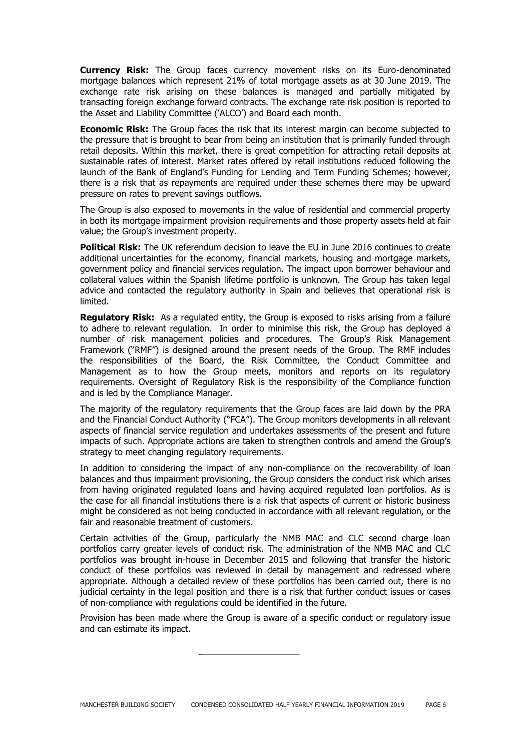**Currency Risk:** The Group faces currency movement risks on its Euro-denominated mortgage balances which represent 21% of total mortgage assets as at 30 June 2019. The exchange rate risk arising on these balances is managed and partially mitigated by transacting foreign exchange forward contracts. The exchange rate risk position is reported to the Asset and Liability Committee ('ALCO') and Board each month.

**Economic Risk:** The Group faces the risk that its interest margin can become subjected to the pressure that is brought to bear from being an institution that is primarily funded through retail deposits. Within this market, there is great competition for attracting retail deposits at sustainable rates of interest. Market rates offered by retail institutions reduced following the launch of the Bank of England's Funding for Lending and Term Funding Schemes; however, there is a risk that as repayments are required under these schemes there may be upward pressure on rates to prevent savings outflows.

The Group is also exposed to movements in the value of residential and commercial property in both its mortgage impairment provision requirements and those property assets held at fair value; the Group's investment property.

**Political Risk:** The UK referendum decision to leave the EU in June 2016 continues to create additional uncertainties for the economy, financial markets, housing and mortgage markets, government policy and financial services regulation. The impact upon borrower behaviour and collateral values within the Spanish lifetime portfolio is unknown. The Group has taken legal advice and contacted the regulatory authority in Spain and believes that operational risk is limited.

**Regulatory Risk:** As a regulated entity, the Group is exposed to risks arising from a failure to adhere to relevant regulation. In order to minimise this risk, the Group has deployed a number of risk management policies and procedures. The Group's Risk Management Framework ("RMF") is designed around the present needs of the Group. The RMF includes the responsibilities of the Board, the Risk Committee, the Conduct Committee and Management as to how the Group meets, monitors and reports on its regulatory requirements. Oversight of Regulatory Risk is the responsibility of the Compliance function and is led by the Compliance Manager.

The majority of the regulatory requirements that the Group faces are laid down by the PRA and the Financial Conduct Authority ("FCA"). The Group monitors developments in all relevant aspects of financial service regulation and undertakes assessments of the present and future impacts of such. Appropriate actions are taken to strengthen controls and amend the Group's strategy to meet changing regulatory requirements.

In addition to considering the impact of any non-compliance on the recoverability of loan balances and thus impairment provisioning, the Group considers the conduct risk which arises from having originated regulated loans and having acquired regulated loan portfolios. As is the case for all financial institutions there is a risk that aspects of current or historic business might be considered as not being conducted in accordance with all relevant regulation, or the fair and reasonable treatment of customers.

Certain activities of the Group, particularly the NMB MAC and CLC second charge loan portfolios carry greater levels of conduct risk. The administration of the NMB MAC and CLC portfolios was brought in-house in December 2015 and following that transfer the historic conduct of these portfolios was reviewed in detail by management and redressed where appropriate. Although a detailed review of these portfolios has been carried out, there is no judicial certainty in the legal position and there is a risk that further conduct issues or cases of non-compliance with regulations could be identified in the future.

Provision has been made where the Group is aware of a specific conduct or regulatory issue and can estimate its impact.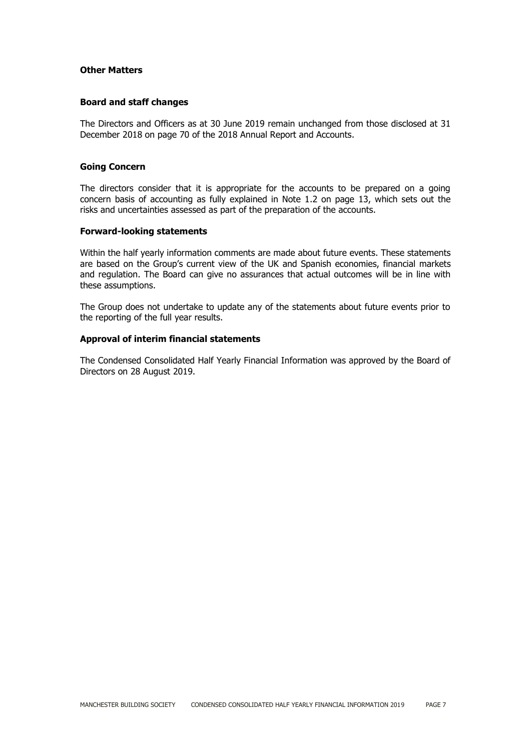#### **Other Matters**

#### **Board and staff changes**

The Directors and Officers as at 30 June 2019 remain unchanged from those disclosed at 31 December 2018 on page 70 of the 2018 Annual Report and Accounts.

#### **Going Concern**

The directors consider that it is appropriate for the accounts to be prepared on a going concern basis of accounting as fully explained in Note 1.2 on page 13, which sets out the risks and uncertainties assessed as part of the preparation of the accounts.

#### **Forward-looking statements**

Within the half yearly information comments are made about future events. These statements are based on the Group's current view of the UK and Spanish economies, financial markets and regulation. The Board can give no assurances that actual outcomes will be in line with these assumptions.

The Group does not undertake to update any of the statements about future events prior to the reporting of the full year results.

#### **Approval of interim financial statements**

The Condensed Consolidated Half Yearly Financial Information was approved by the Board of Directors on 28 August 2019.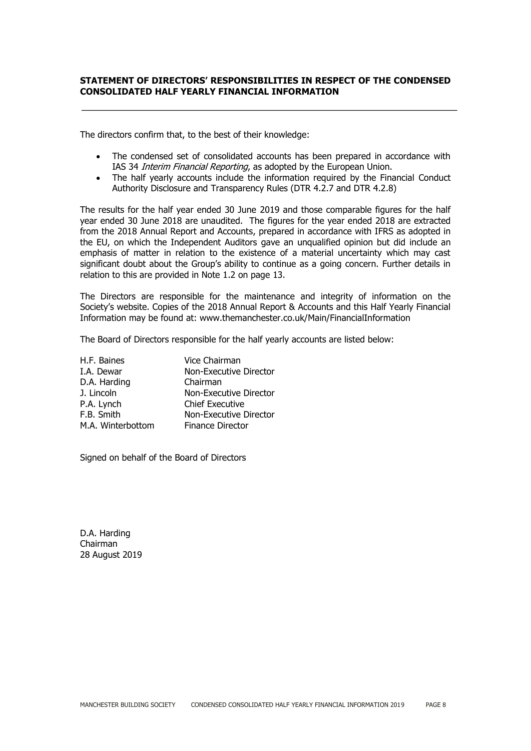## **STATEMENT OF DIRECTORS' RESPONSIBILITIES IN RESPECT OF THE CONDENSED CONSOLIDATED HALF YEARLY FINANCIAL INFORMATION**

The directors confirm that, to the best of their knowledge:

- The condensed set of consolidated accounts has been prepared in accordance with IAS 34 Interim Financial Reporting, as adopted by the European Union.
- The half yearly accounts include the information required by the Financial Conduct Authority Disclosure and Transparency Rules (DTR 4.2.7 and DTR 4.2.8)

The results for the half year ended 30 June 2019 and those comparable figures for the half year ended 30 June 2018 are unaudited. The figures for the year ended 2018 are extracted from the 2018 Annual Report and Accounts, prepared in accordance with IFRS as adopted in the EU, on which the Independent Auditors gave an unqualified opinion but did include an emphasis of matter in relation to the existence of a material uncertainty which may cast significant doubt about the Group's ability to continue as a going concern. Further details in relation to this are provided in Note 1.2 on page 13.

The Directors are responsible for the maintenance and integrity of information on the Society's website. Copies of the 2018 Annual Report & Accounts and this Half Yearly Financial Information may be found at: www.themanchester.co.uk/Main/FinancialInformation

The Board of Directors responsible for the half yearly accounts are listed below:

| H.F. Baines       | Vice Chairman           |
|-------------------|-------------------------|
| I.A. Dewar        | Non-Executive Director  |
| D.A. Harding      | Chairman                |
| J. Lincoln        | Non-Executive Director  |
| P.A. Lynch        | <b>Chief Executive</b>  |
| F.B. Smith        | Non-Executive Director  |
| M.A. Winterbottom | <b>Finance Director</b> |

Signed on behalf of the Board of Directors

D.A. Harding Chairman 28 August 2019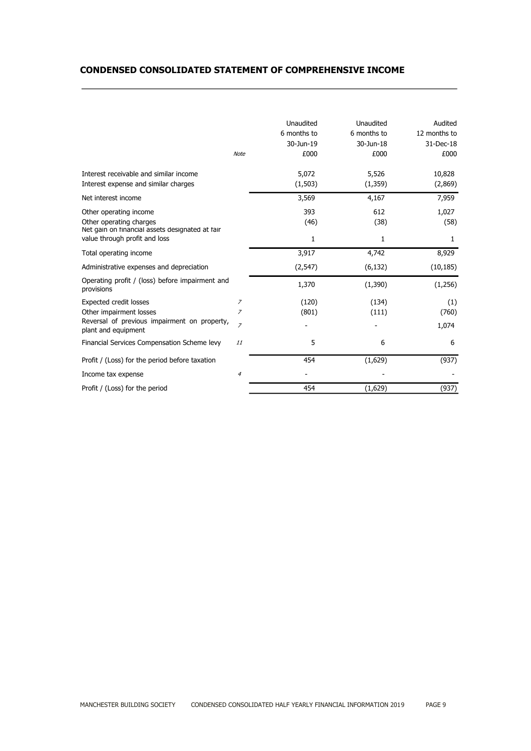## **CONDENSED CONSOLIDATED STATEMENT OF COMPREHENSIVE INCOME**

 $\overline{a}$ 

|                                                                                                      | <b>Note</b>    | Unaudited<br>6 months to<br>30-Jun-19<br>£000 | Unaudited<br>6 months to<br>30-Jun-18<br>£000 | Audited<br>12 months to<br>31-Dec-18<br>£000 |
|------------------------------------------------------------------------------------------------------|----------------|-----------------------------------------------|-----------------------------------------------|----------------------------------------------|
| Interest receivable and similar income<br>Interest expense and similar charges                       |                | 5,072<br>(1,503)                              | 5,526<br>(1,359)                              | 10,828<br>(2,869)                            |
| Net interest income                                                                                  |                | 3,569                                         | 4,167                                         | 7,959                                        |
| Other operating income<br>Other operating charges<br>Net gain on financial assets designated at fair |                | 393<br>(46)                                   | 612<br>(38)                                   | 1,027<br>(58)                                |
| value through profit and loss                                                                        |                | 1                                             | 1                                             | 1                                            |
| Total operating income                                                                               |                | 3,917                                         | 4,742                                         | 8,929                                        |
| Administrative expenses and depreciation                                                             |                | (2,547)                                       | (6, 132)                                      | (10, 185)                                    |
| Operating profit / (loss) before impairment and<br>provisions                                        |                | 1,370                                         | (1, 390)                                      | (1,256)                                      |
| <b>Expected credit losses</b>                                                                        | $\overline{z}$ | (120)                                         | (134)                                         | (1)                                          |
| Other impairment losses                                                                              | $\overline{z}$ | (801)                                         | (111)                                         | (760)                                        |
| Reversal of previous impairment on property,<br>plant and equipment                                  | $\overline{z}$ |                                               |                                               | 1,074                                        |
| Financial Services Compensation Scheme levy                                                          | 11             | 5                                             | 6                                             | 6                                            |
| Profit / (Loss) for the period before taxation                                                       |                | 454                                           | (1,629)                                       | (937)                                        |
| Income tax expense                                                                                   | $\overline{4}$ |                                               |                                               |                                              |
| Profit / (Loss) for the period                                                                       |                | 454                                           | (1,629)                                       | (937)                                        |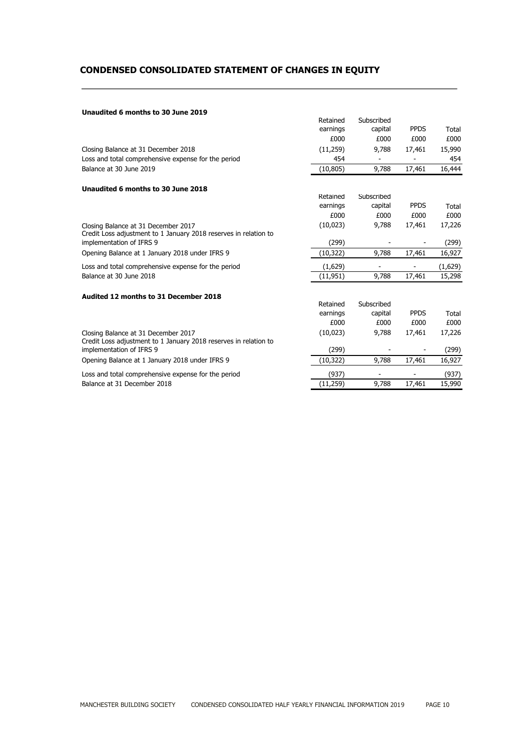# **CONDENSED CONSOLIDATED STATEMENT OF CHANGES IN EQUITY**

#### **Unaudited 6 months to 30 June 2019**

 $\overline{a}$ 

|                                                                                                         | Retained  | Subscribed |             |         |
|---------------------------------------------------------------------------------------------------------|-----------|------------|-------------|---------|
|                                                                                                         | earnings  | capital    | <b>PPDS</b> | Total   |
|                                                                                                         | £000      | £000       | £000        | £000    |
| Closing Balance at 31 December 2018                                                                     | (11,259)  | 9,788      | 17,461      | 15,990  |
| Loss and total comprehensive expense for the period                                                     | 454       |            |             | 454     |
| Balance at 30 June 2019                                                                                 | (10, 805) | 9,788      | 17,461      | 16,444  |
| Unaudited 6 months to 30 June 2018                                                                      |           |            |             |         |
|                                                                                                         | Retained  | Subscribed |             |         |
|                                                                                                         | earnings  | capital    | <b>PPDS</b> | Total   |
|                                                                                                         | £000      | £000       | £000        | £000    |
| Closing Balance at 31 December 2017                                                                     | (10,023)  | 9,788      | 17,461      | 17,226  |
| Credit Loss adjustment to 1 January 2018 reserves in relation to                                        |           |            |             |         |
| implementation of IFRS 9                                                                                | (299)     |            |             | (299)   |
| Opening Balance at 1 January 2018 under IFRS 9                                                          | (10,322)  | 9,788      | 17,461      | 16,927  |
| Loss and total comprehensive expense for the period                                                     | (1,629)   |            |             | (1,629) |
| Balance at 30 June 2018                                                                                 | (11, 951) | 9,788      | 17,461      | 15,298  |
| Audited 12 months to 31 December 2018                                                                   |           |            |             |         |
|                                                                                                         | Retained  | Subscribed |             |         |
|                                                                                                         | earnings  | capital    | <b>PPDS</b> | Total   |
|                                                                                                         | £000      | £000       | £000        | £000    |
| Closing Balance at 31 December 2017<br>Credit Loss adjustment to 1 January 2018 reserves in relation to | (10,023)  | 9,788      | 17,461      | 17,226  |
| implementation of IFRS 9                                                                                | (299)     |            |             | (299)   |
| Opening Balance at 1 January 2018 under IFRS 9                                                          | (10,322)  | 9,788      | 17,461      | 16,927  |
| Loss and total comprehensive expense for the period                                                     | (937)     |            |             | (937)   |
| Balance at 31 December 2018                                                                             | (11, 259) | 9,788      | 17,461      | 15,990  |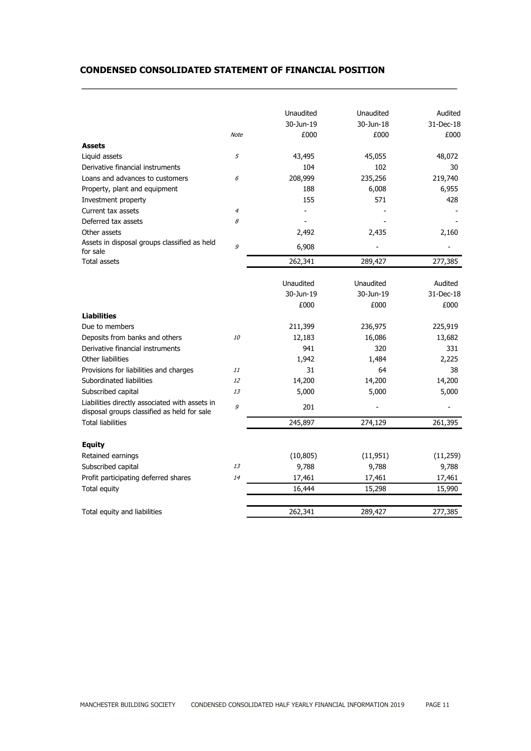## **CONDENSED CONSOLIDATED STATEMENT OF FINANCIAL POSITION**

 $\overline{a}$ 

|                                                                                               |                | Unaudited<br>30-Jun-19 | Unaudited<br>30-Jun-18 | Audited<br>31-Dec-18 |
|-----------------------------------------------------------------------------------------------|----------------|------------------------|------------------------|----------------------|
|                                                                                               | <b>Note</b>    | £000                   | £000                   | £000                 |
| <b>Assets</b>                                                                                 |                |                        |                        |                      |
| Liquid assets                                                                                 | 5              | 43,495                 | 45,055                 | 48,072               |
| Derivative financial instruments                                                              |                | 104                    | 102                    | 30                   |
| Loans and advances to customers                                                               | 6              | 208,999                | 235,256                | 219,740              |
|                                                                                               |                | 188                    | 6,008                  | 6,955                |
| Property, plant and equipment                                                                 |                | 155                    | 571                    | 428                  |
| Investment property<br>Current tax assets                                                     | $\overline{4}$ |                        |                        |                      |
| Deferred tax assets                                                                           | 8              |                        |                        |                      |
| Other assets                                                                                  |                |                        |                        |                      |
| Assets in disposal groups classified as held                                                  |                | 2,492                  | 2,435                  | 2,160                |
| for sale                                                                                      | 9              | 6,908                  |                        |                      |
| <b>Total assets</b>                                                                           |                | 262,341                | 289,427                | 277,385              |
|                                                                                               |                |                        |                        |                      |
|                                                                                               |                | Unaudited              | Unaudited              | Audited              |
|                                                                                               |                | 30-Jun-19              | 30-Jun-19              | 31-Dec-18            |
|                                                                                               |                | £000                   | £000                   | £000                 |
| <b>Liabilities</b>                                                                            |                |                        |                        |                      |
| Due to members                                                                                |                | 211,399                | 236,975                | 225,919              |
| Deposits from banks and others                                                                | 10             | 12,183                 | 16,086                 | 13,682               |
| Derivative financial instruments                                                              |                | 941                    | 320                    | 331                  |
| Other liabilities                                                                             |                | 1,942                  | 1.484                  | 2,225                |
| Provisions for liabilities and charges                                                        | 11             | 31                     | 64                     | 38                   |
| Subordinated liabilities                                                                      | 12             | 14,200                 | 14,200                 | 14,200               |
| Subscribed capital                                                                            | 13             | 5,000                  | 5,000                  | 5,000                |
| Liabilities directly associated with assets in<br>disposal groups classified as held for sale | 9              | 201                    |                        |                      |
| <b>Total liabilities</b>                                                                      |                | 245,897                | 274,129                | 261,395              |
| <b>Equity</b>                                                                                 |                |                        |                        |                      |
| Retained earnings                                                                             |                | (10, 805)              | (11, 951)              |                      |
| Subscribed capital                                                                            | 13             | 9,788                  | 9,788                  | (11, 259)<br>9,788   |
|                                                                                               | 14             |                        |                        |                      |
| Profit participating deferred shares                                                          |                | 17,461                 | 17,461                 | 17,461               |
| Total equity                                                                                  |                | 16,444                 | 15,298                 | 15,990               |
|                                                                                               |                |                        |                        |                      |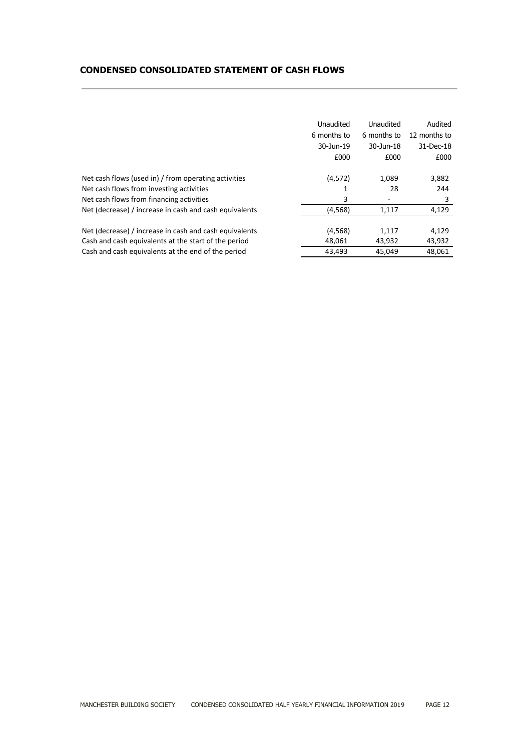|  |  |  | <b>CONDENSED CONSOLIDATED STATEMENT OF CASH FLOWS</b> |
|--|--|--|-------------------------------------------------------|
|--|--|--|-------------------------------------------------------|

|                                                        | Unaudited   | Unaudited   | Audited      |
|--------------------------------------------------------|-------------|-------------|--------------|
|                                                        | 6 months to | 6 months to | 12 months to |
|                                                        | 30-Jun-19   | 30-Jun-18   | $31$ -Dec-18 |
|                                                        | £000        | £000        | £000         |
| Net cash flows (used in) / from operating activities   | (4, 572)    | 1,089       | 3,882        |
| Net cash flows from investing activities               |             | 28          | 244          |
| Net cash flows from financing activities               | 3           |             | 3            |
| Net (decrease) / increase in cash and cash equivalents | (4,568)     | 1,117       | 4,129        |
| Net (decrease) / increase in cash and cash equivalents | (4, 568)    | 1,117       | 4,129        |
| Cash and cash equivalents at the start of the period   | 48,061      | 43,932      | 43,932       |
| Cash and cash equivalents at the end of the period     | 43.493      | 45.049      | 48.061       |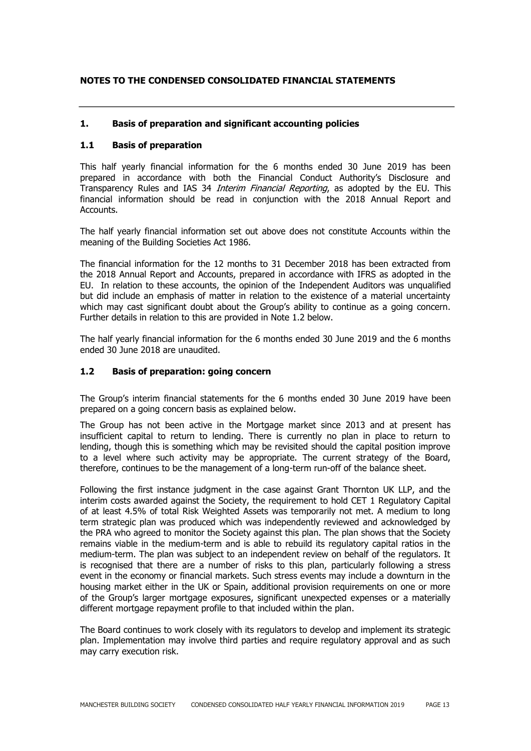## **NOTES TO THE CONDENSED CONSOLIDATED FINANCIAL STATEMENTS**

## **1. Basis of preparation and significant accounting policies**

#### **1.1 Basis of preparation**

This half yearly financial information for the 6 months ended 30 June 2019 has been prepared in accordance with both the Financial Conduct Authority's Disclosure and Transparency Rules and IAS 34 Interim Financial Reporting, as adopted by the EU. This financial information should be read in conjunction with the 2018 Annual Report and Accounts.

The half yearly financial information set out above does not constitute Accounts within the meaning of the Building Societies Act 1986.

The financial information for the 12 months to 31 December 2018 has been extracted from the 2018 Annual Report and Accounts, prepared in accordance with IFRS as adopted in the EU. In relation to these accounts, the opinion of the Independent Auditors was unqualified but did include an emphasis of matter in relation to the existence of a material uncertainty which may cast significant doubt about the Group's ability to continue as a going concern. Further details in relation to this are provided in Note 1.2 below.

The half yearly financial information for the 6 months ended 30 June 2019 and the 6 months ended 30 June 2018 are unaudited.

#### **1.2 Basis of preparation: going concern**

The Group's interim financial statements for the 6 months ended 30 June 2019 have been prepared on a going concern basis as explained below.

The Group has not been active in the Mortgage market since 2013 and at present has insufficient capital to return to lending. There is currently no plan in place to return to lending, though this is something which may be revisited should the capital position improve to a level where such activity may be appropriate. The current strategy of the Board, therefore, continues to be the management of a long-term run-off of the balance sheet.

Following the first instance judgment in the case against Grant Thornton UK LLP, and the interim costs awarded against the Society, the requirement to hold CET 1 Regulatory Capital of at least 4.5% of total Risk Weighted Assets was temporarily not met. A medium to long term strategic plan was produced which was independently reviewed and acknowledged by the PRA who agreed to monitor the Society against this plan. The plan shows that the Society remains viable in the medium-term and is able to rebuild its regulatory capital ratios in the medium-term. The plan was subject to an independent review on behalf of the regulators. It is recognised that there are a number of risks to this plan, particularly following a stress event in the economy or financial markets. Such stress events may include a downturn in the housing market either in the UK or Spain, additional provision requirements on one or more of the Group's larger mortgage exposures, significant unexpected expenses or a materially different mortgage repayment profile to that included within the plan.

The Board continues to work closely with its regulators to develop and implement its strategic plan. Implementation may involve third parties and require regulatory approval and as such may carry execution risk.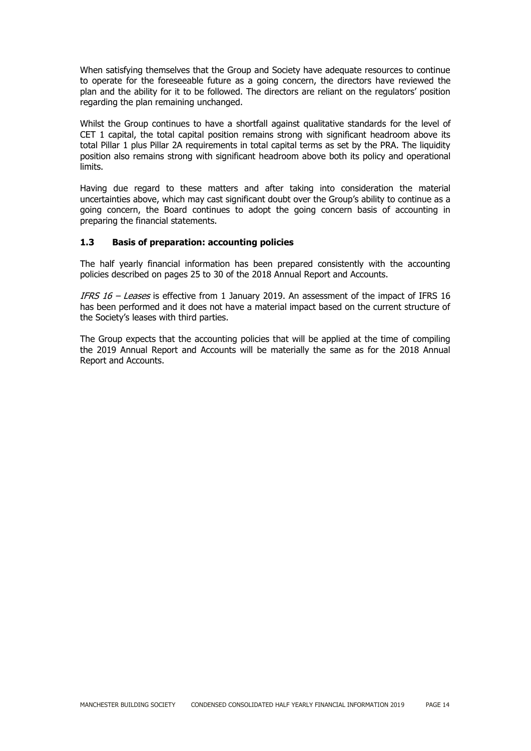When satisfying themselves that the Group and Society have adequate resources to continue to operate for the foreseeable future as a going concern, the directors have reviewed the plan and the ability for it to be followed. The directors are reliant on the regulators' position regarding the plan remaining unchanged.

Whilst the Group continues to have a shortfall against qualitative standards for the level of CET 1 capital, the total capital position remains strong with significant headroom above its total Pillar 1 plus Pillar 2A requirements in total capital terms as set by the PRA. The liquidity position also remains strong with significant headroom above both its policy and operational limits.

Having due regard to these matters and after taking into consideration the material uncertainties above, which may cast significant doubt over the Group's ability to continue as a going concern, the Board continues to adopt the going concern basis of accounting in preparing the financial statements.

## **1.3 Basis of preparation: accounting policies**

The half yearly financial information has been prepared consistently with the accounting policies described on pages 25 to 30 of the 2018 Annual Report and Accounts.

IFRS 16 – Leases is effective from 1 January 2019. An assessment of the impact of IFRS 16 has been performed and it does not have a material impact based on the current structure of the Society's leases with third parties.

The Group expects that the accounting policies that will be applied at the time of compiling the 2019 Annual Report and Accounts will be materially the same as for the 2018 Annual Report and Accounts.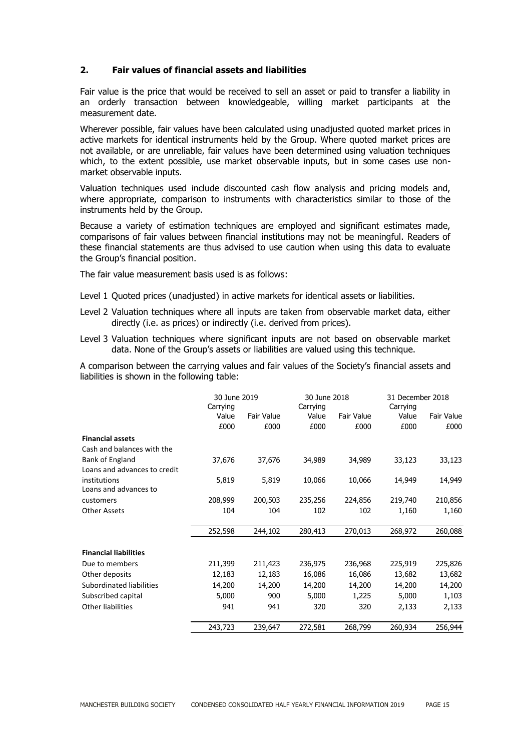## **2. Fair values of financial assets and liabilities**

Fair value is the price that would be received to sell an asset or paid to transfer a liability in an orderly transaction between knowledgeable, willing market participants at the measurement date.

Wherever possible, fair values have been calculated using unadjusted quoted market prices in active markets for identical instruments held by the Group. Where quoted market prices are not available, or are unreliable, fair values have been determined using valuation techniques which, to the extent possible, use market observable inputs, but in some cases use nonmarket observable inputs.

Valuation techniques used include discounted cash flow analysis and pricing models and, where appropriate, comparison to instruments with characteristics similar to those of the instruments held by the Group.

Because a variety of estimation techniques are employed and significant estimates made, comparisons of fair values between financial institutions may not be meaningful. Readers of these financial statements are thus advised to use caution when using this data to evaluate the Group's financial position.

The fair value measurement basis used is as follows:

- Level 1 Quoted prices (unadjusted) in active markets for identical assets or liabilities.
- Level 2 Valuation techniques where all inputs are taken from observable market data, either directly (i.e. as prices) or indirectly (i.e. derived from prices).
- Level 3 Valuation techniques where significant inputs are not based on observable market data. None of the Group's assets or liabilities are valued using this technique.

A comparison between the carrying values and fair values of the Society's financial assets and liabilities is shown in the following table:

|                              | 30 June 2019<br>Carrying |            | Carrying | 30 June 2018 |         | 31 December 2018<br>Carrying |  |
|------------------------------|--------------------------|------------|----------|--------------|---------|------------------------------|--|
|                              | Value                    | Fair Value | Value    | Fair Value   | Value   | Fair Value                   |  |
|                              | £000                     | £000       | £000     | £000         | £000    | £000                         |  |
| <b>Financial assets</b>      |                          |            |          |              |         |                              |  |
| Cash and balances with the   |                          |            |          |              |         |                              |  |
| Bank of England              | 37,676                   | 37,676     | 34,989   | 34,989       | 33,123  | 33,123                       |  |
| Loans and advances to credit |                          |            |          |              |         |                              |  |
| institutions                 | 5,819                    | 5,819      | 10,066   | 10,066       | 14,949  | 14,949                       |  |
| Loans and advances to        |                          |            |          |              |         |                              |  |
| customers                    | 208,999                  | 200,503    | 235,256  | 224,856      | 219,740 | 210,856                      |  |
| <b>Other Assets</b>          | 104                      | 104        | 102      | 102          | 1,160   | 1,160                        |  |
|                              |                          |            |          |              |         |                              |  |
|                              | 252,598                  | 244,102    | 280,413  | 270,013      | 268,972 | 260,088                      |  |
| <b>Financial liabilities</b> |                          |            |          |              |         |                              |  |
| Due to members               | 211,399                  | 211,423    | 236,975  | 236,968      | 225,919 | 225,826                      |  |
| Other deposits               | 12,183                   | 12,183     | 16,086   | 16,086       | 13,682  | 13,682                       |  |
| Subordinated liabilities     | 14,200                   | 14,200     | 14,200   | 14,200       | 14,200  | 14,200                       |  |
| Subscribed capital           | 5,000                    | 900        | 5,000    | 1,225        | 5,000   | 1,103                        |  |
| <b>Other liabilities</b>     | 941                      | 941        | 320      | 320          | 2,133   | 2,133                        |  |
|                              |                          |            |          |              |         |                              |  |
|                              | 243,723                  | 239,647    | 272,581  | 268,799      | 260,934 | 256,944                      |  |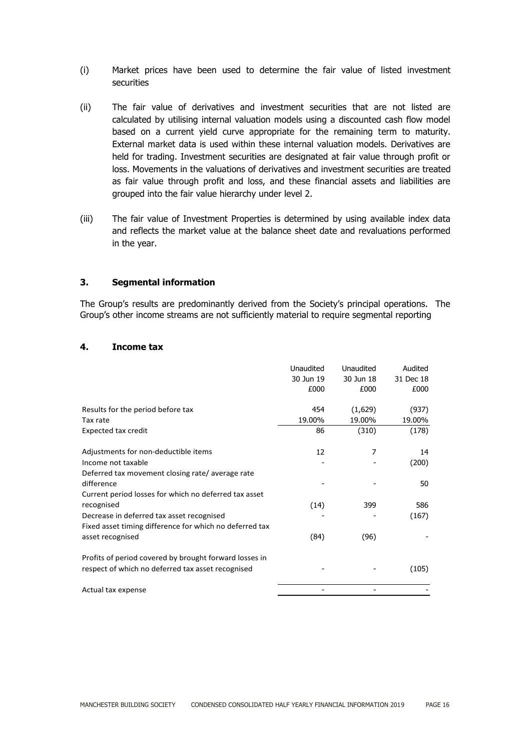- (i) Market prices have been used to determine the fair value of listed investment securities
- (ii) The fair value of derivatives and investment securities that are not listed are calculated by utilising internal valuation models using a discounted cash flow model based on a current yield curve appropriate for the remaining term to maturity. External market data is used within these internal valuation models. Derivatives are held for trading. Investment securities are designated at fair value through profit or loss. Movements in the valuations of derivatives and investment securities are treated as fair value through profit and loss, and these financial assets and liabilities are grouped into the fair value hierarchy under level 2.
- (iii) The fair value of Investment Properties is determined by using available index data and reflects the market value at the balance sheet date and revaluations performed in the year.

#### **3. Segmental information**

The Group's results are predominantly derived from the Society's principal operations. The Group's other income streams are not sufficiently material to require segmental reporting

## **4. Income tax**

|                                                         | Unaudited | Unaudited | Audited   |
|---------------------------------------------------------|-----------|-----------|-----------|
|                                                         | 30 Jun 19 | 30 Jun 18 | 31 Dec 18 |
|                                                         | £000      | £000      | £000      |
| Results for the period before tax                       | 454       | (1,629)   | (937)     |
| Tax rate                                                | 19.00%    | 19.00%    | 19.00%    |
| <b>Expected tax credit</b>                              | 86        | (310)     | (178)     |
| Adjustments for non-deductible items                    | 12        | 7         | 14        |
| Income not taxable                                      |           |           | (200)     |
| Deferred tax movement closing rate/average rate         |           |           |           |
| difference                                              |           |           | 50        |
| Current period losses for which no deferred tax asset   |           |           |           |
| recognised                                              | (14)      | 399       | 586       |
| Decrease in deferred tax asset recognised               |           |           | (167)     |
| Fixed asset timing difference for which no deferred tax |           |           |           |
| asset recognised                                        | (84)      | (96)      |           |
| Profits of period covered by brought forward losses in  |           |           |           |
| respect of which no deferred tax asset recognised       |           |           | (105)     |
| Actual tax expense                                      |           |           |           |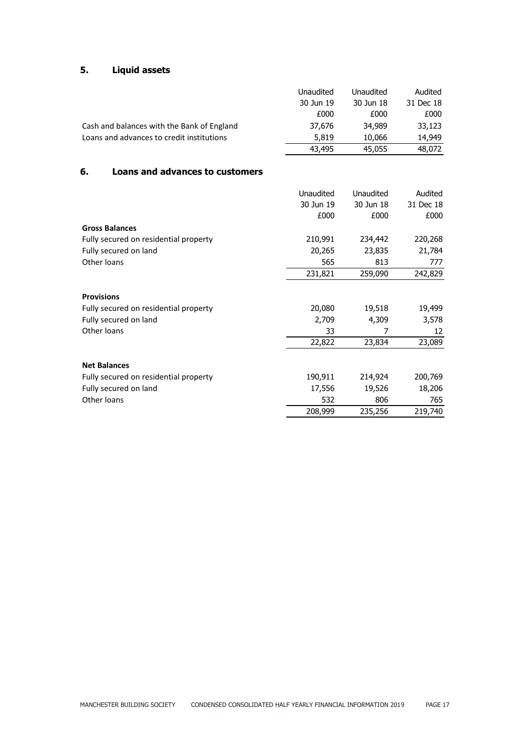# **5. Liquid assets**

|                                            | Unaudited | <b>Unaudited</b> | Audited   |
|--------------------------------------------|-----------|------------------|-----------|
|                                            | 30 Jun 19 | 30 Jun 18        | 31 Dec 18 |
|                                            | £000      | £000             | £000      |
| Cash and balances with the Bank of England | 37,676    | 34,989           | 33,123    |
| Loans and advances to credit institutions  | 5,819     | 10,066           | 14,949    |
|                                            | 43,495    | 45,055           | 48,072    |

## **6. Loans and advances to customers**

|                                       | Unaudited | Unaudited | Audited   |
|---------------------------------------|-----------|-----------|-----------|
|                                       | 30 Jun 19 | 30 Jun 18 | 31 Dec 18 |
|                                       | £000      | £000      | £000      |
| <b>Gross Balances</b>                 |           |           |           |
| Fully secured on residential property | 210,991   | 234,442   | 220,268   |
| Fully secured on land                 | 20,265    | 23,835    | 21,784    |
| Other loans                           | 565       | 813       | 777       |
|                                       | 231,821   | 259,090   | 242,829   |
| <b>Provisions</b>                     |           |           |           |
| Fully secured on residential property | 20,080    | 19,518    | 19,499    |
| Fully secured on land                 | 2,709     | 4,309     | 3,578     |
| Other loans                           | 33        | 7         | 12        |
|                                       | 22,822    | 23,834    | 23,089    |
| <b>Net Balances</b>                   |           |           |           |
|                                       |           |           |           |
| Fully secured on residential property | 190,911   | 214,924   | 200,769   |
| Fully secured on land                 | 17,556    | 19,526    | 18,206    |
| Other loans                           | 532       | 806       | 765       |
|                                       | 208,999   | 235,256   | 219,740   |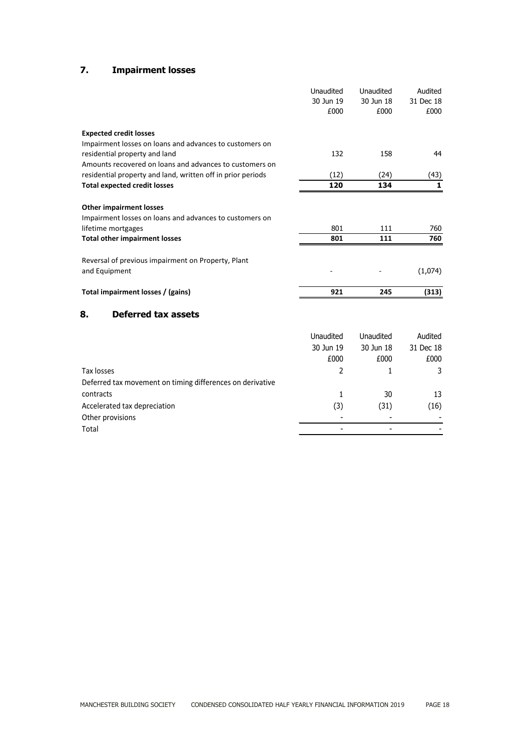# **7. Impairment losses**

|                                                             | Unaudited        | Unaudited | Audited      |
|-------------------------------------------------------------|------------------|-----------|--------------|
|                                                             | 30 Jun 19        | 30 Jun 18 | 31 Dec 18    |
|                                                             | £000             | £000      | £000         |
| <b>Expected credit losses</b>                               |                  |           |              |
| Impairment losses on loans and advances to customers on     |                  |           |              |
| residential property and land                               | 132              | 158       | 44           |
| Amounts recovered on loans and advances to customers on     |                  |           |              |
| residential property and land, written off in prior periods | (12)             | (24)      | (43)         |
| <b>Total expected credit losses</b>                         | 120              | 134       | $\mathbf{1}$ |
| <b>Other impairment losses</b>                              |                  |           |              |
| Impairment losses on loans and advances to customers on     |                  |           |              |
| lifetime mortgages                                          | 801              | 111       | 760          |
| <b>Total other impairment losses</b>                        | 801              | 111       | 760          |
| Reversal of previous impairment on Property, Plant          |                  |           |              |
| and Equipment                                               |                  |           | (1,074)      |
| Total impairment losses / (gains)                           | 921              | 245       | (313)        |
| 8.<br><b>Deferred tax assets</b>                            |                  |           |              |
|                                                             | <b>Unaudited</b> | Unaudited | Audited      |
|                                                             | 30 Jun 19        | 30 Jun 18 | 31 Dec 18    |
|                                                             | £000             | £000      | £000         |
| Tax losses                                                  | $\mathcal{P}$    | 1         | 3            |
| Deferred tax movement on timing differences on derivative   |                  |           |              |
| contracts                                                   | 1                | 30        | 13           |
| Accelerated tax depreciation                                | (3)              | (31)      | (16)         |
| Other provisions                                            |                  |           |              |
| Total                                                       |                  |           |              |
|                                                             |                  |           |              |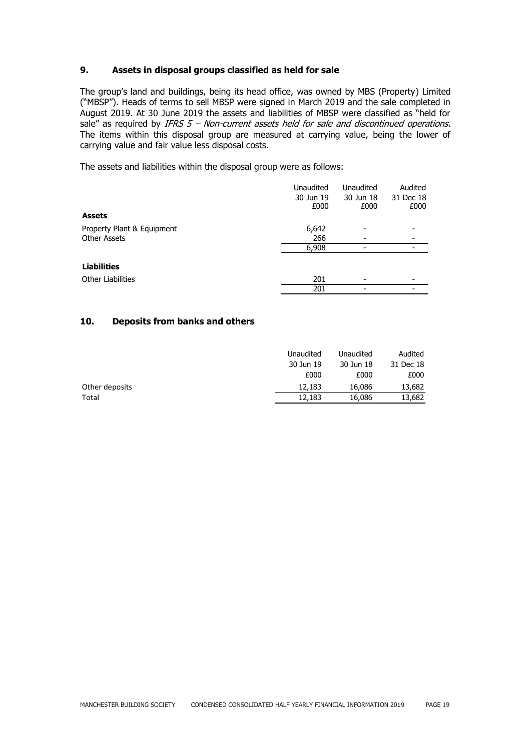## **9. Assets in disposal groups classified as held for sale**

The group's land and buildings, being its head office, was owned by MBS (Property) Limited ("MBSP"). Heads of terms to sell MBSP were signed in March 2019 and the sale completed in August 2019. At 30 June 2019 the assets and liabilities of MBSP were classified as "held for sale" as required by IFRS  $5$  – Non-current assets held for sale and discontinued operations. The items within this disposal group are measured at carrying value, being the lower of carrying value and fair value less disposal costs.

The assets and liabilities within the disposal group were as follows:

|                            | Unaudited | Unaudited | Audited   |
|----------------------------|-----------|-----------|-----------|
|                            | 30 Jun 19 | 30 Jun 18 | 31 Dec 18 |
|                            | £000      | £000      | £000      |
| <b>Assets</b>              |           |           |           |
| Property Plant & Equipment | 6,642     |           |           |
| <b>Other Assets</b>        | 266       |           |           |
|                            | 6,908     |           |           |
| <b>Liabilities</b>         |           |           |           |
| <b>Other Liabilities</b>   | 201       |           |           |
|                            | 201       |           |           |

## **10. Deposits from banks and others**

|                | Unaudited | Unaudited | Audited   |
|----------------|-----------|-----------|-----------|
|                | 30 Jun 19 | 30 Jun 18 | 31 Dec 18 |
|                | £000      | £000      | £000      |
| Other deposits | 12,183    | 16,086    | 13,682    |
| Total          | 12,183    | 16,086    | 13,682    |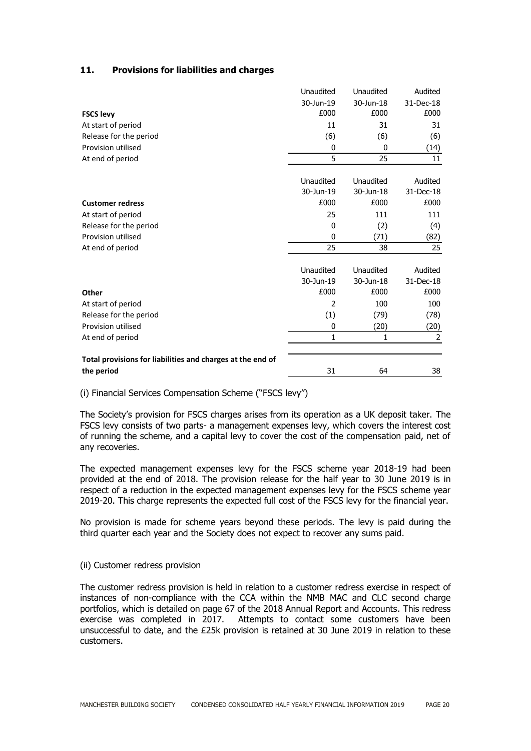| 11. |  | <b>Provisions for liabilities and charges</b> |  |  |
|-----|--|-----------------------------------------------|--|--|
|-----|--|-----------------------------------------------|--|--|

|                                                            | Unaudited    | Unaudited    | Audited        |
|------------------------------------------------------------|--------------|--------------|----------------|
|                                                            | 30-Jun-19    | 30-Jun-18    | 31-Dec-18      |
| <b>FSCS levy</b>                                           | £000         | £000         | £000           |
| At start of period                                         | 11           | 31           | 31             |
| Release for the period                                     | (6)          | (6)          | (6)            |
| Provision utilised                                         | 0            | 0            | (14)           |
| At end of period                                           | 5            | 25           | 11             |
|                                                            |              |              |                |
|                                                            | Unaudited    | Unaudited    | Audited        |
|                                                            | 30-Jun-19    | 30-Jun-18    | 31-Dec-18      |
| <b>Customer redress</b>                                    | £000         | £000         | £000           |
| At start of period                                         | 25           | 111          | 111            |
| Release for the period                                     | $\mathbf{0}$ | (2)          | (4)            |
| Provision utilised                                         | $\mathbf{0}$ | (71)         | (82)           |
| At end of period                                           | 25           | 38           | 25             |
|                                                            |              |              |                |
|                                                            | Unaudited    | Unaudited    | Audited        |
|                                                            | 30-Jun-19    | 30-Jun-18    | 31-Dec-18      |
| Other                                                      | £000         | £000         | £000           |
| At start of period                                         | 2            | 100          | 100            |
| Release for the period                                     | (1)          | (79)         | (78)           |
| Provision utilised                                         | 0            | (20)         | (20)           |
| At end of period                                           | 1            | $\mathbf{1}$ | $\overline{2}$ |
|                                                            |              |              |                |
| Total provisions for liabilities and charges at the end of |              |              |                |
| the period                                                 | 31           | 64           | 38             |

(i) Financial Services Compensation Scheme ("FSCS levy")

The Society's provision for FSCS charges arises from its operation as a UK deposit taker. The FSCS levy consists of two parts- a management expenses levy, which covers the interest cost of running the scheme, and a capital levy to cover the cost of the compensation paid, net of any recoveries.

The expected management expenses levy for the FSCS scheme year 2018-19 had been provided at the end of 2018. The provision release for the half year to 30 June 2019 is in respect of a reduction in the expected management expenses levy for the FSCS scheme year 2019-20. This charge represents the expected full cost of the FSCS levy for the financial year.

No provision is made for scheme years beyond these periods. The levy is paid during the third quarter each year and the Society does not expect to recover any sums paid.

#### (ii) Customer redress provision

The customer redress provision is held in relation to a customer redress exercise in respect of instances of non-compliance with the CCA within the NMB MAC and CLC second charge portfolios, which is detailed on page 67 of the 2018 Annual Report and Accounts. This redress exercise was completed in 2017. Attempts to contact some customers have been unsuccessful to date, and the £25k provision is retained at 30 June 2019 in relation to these customers.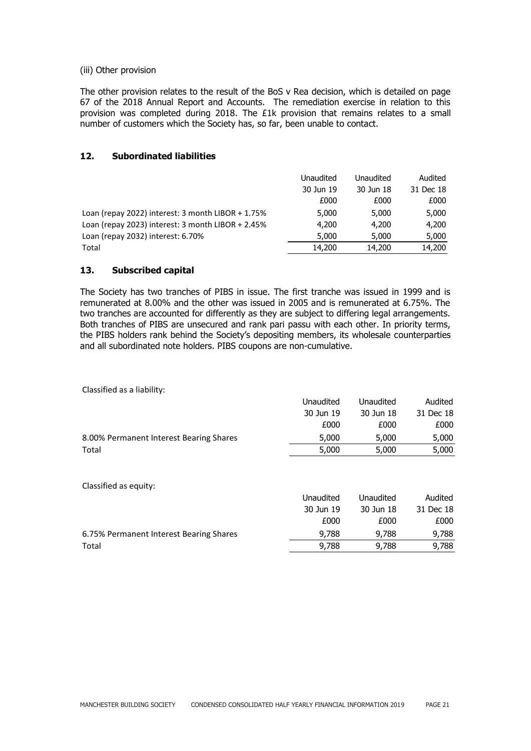#### (iii) Other provision

The other provision relates to the result of the BoS v Rea decision, which is detailed on page 67 of the 2018 Annual Report and Accounts. The remediation exercise in relation to this provision was completed during 2018. The £1k provision that remains relates to a small number of customers which the Society has, so far, been unable to contact.

#### **12. Subordinated liabilities**

|                                                     | <b>Unaudited</b> | Unaudited | Audited   |
|-----------------------------------------------------|------------------|-----------|-----------|
|                                                     | 30 Jun 19        | 30 Jun 18 | 31 Dec 18 |
|                                                     | £000             | £000      | £000      |
| Loan (repay 2022) interest: 3 month LIBOR + 1.75%   | 5,000            | 5,000     | 5,000     |
| Loan (repay 2023) interest: $3$ month LIBOR + 2.45% | 4,200            | 4,200     | 4,200     |
| Loan (repay 2032) interest: 6.70%                   | 5,000            | 5,000     | 5,000     |
| Total                                               | 14,200           | 14,200    | 14,200    |

## **13. Subscribed capital**

The Society has two tranches of PIBS in issue. The first tranche was issued in 1999 and is remunerated at 8.00% and the other was issued in 2005 and is remunerated at 6.75%. The two tranches are accounted for differently as they are subject to differing legal arrangements. Both tranches of PIBS are unsecured and rank pari passu with each other. In priority terms, the PIBS holders rank behind the Society's depositing members, its wholesale counterparties and all subordinated note holders. PIBS coupons are non-cumulative.

Classified as a liability:

|                                         | Unaudited | Unaudited | Audited   |
|-----------------------------------------|-----------|-----------|-----------|
|                                         | 30 Jun 19 | 30 Jun 18 | 31 Dec 18 |
|                                         | £000      | £000      | £000      |
| 8.00% Permanent Interest Bearing Shares | 5,000     | 5,000     | 5,000     |
| Total                                   | 5,000     | 5,000     | 5,000     |
| Classified as equity:                   |           |           |           |
|                                         | Unaudited | Unaudited | Audited   |
|                                         | 30 Jun 19 | 30 Jun 18 | 31 Dec 18 |
|                                         | £000      | £000      | £000      |
| 6.75% Permanent Interest Bearing Shares | 9,788     | 9,788     | 9,788     |
| Total                                   | 9,788     | 9,788     | 9,788     |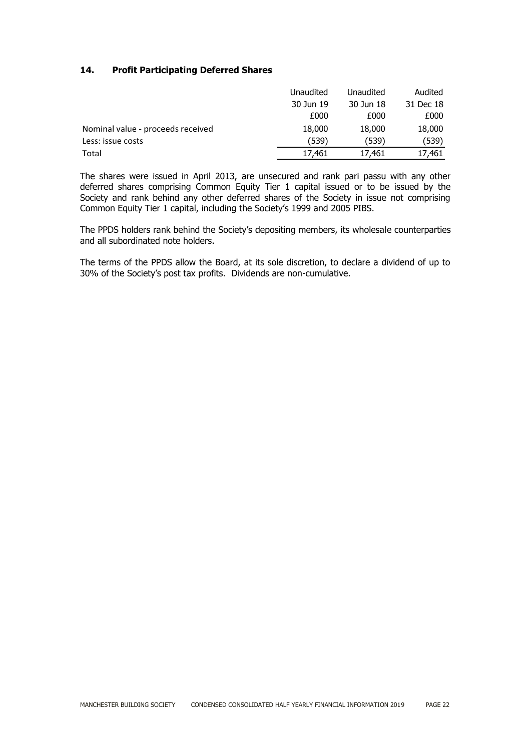## **14. Profit Participating Deferred Shares**

|                                   | Unaudited | Unaudited | Audited   |
|-----------------------------------|-----------|-----------|-----------|
|                                   | 30 Jun 19 | 30 Jun 18 | 31 Dec 18 |
|                                   | £000      | £000      | £000      |
| Nominal value - proceeds received | 18,000    | 18,000    | 18,000    |
| Less: issue costs                 | (539)     | (539)     | (539)     |
| Total                             | 17.461    | 17,461    | 17,461    |

The shares were issued in April 2013, are unsecured and rank pari passu with any other deferred shares comprising Common Equity Tier 1 capital issued or to be issued by the Society and rank behind any other deferred shares of the Society in issue not comprising Common Equity Tier 1 capital, including the Society's 1999 and 2005 PIBS.

The PPDS holders rank behind the Society's depositing members, its wholesale counterparties and all subordinated note holders.

The terms of the PPDS allow the Board, at its sole discretion, to declare a dividend of up to 30% of the Society's post tax profits. Dividends are non-cumulative.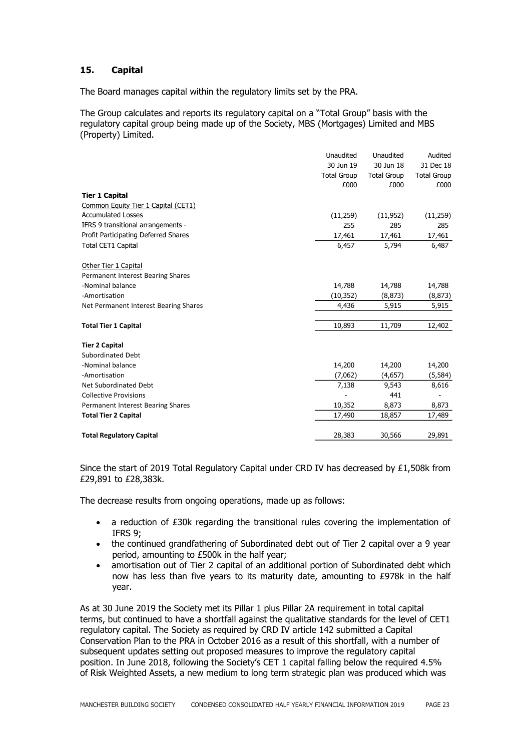## **15. Capital**

The Board manages capital within the regulatory limits set by the PRA.

The Group calculates and reports its regulatory capital on a "Total Group" basis with the regulatory capital group being made up of the Society, MBS (Mortgages) Limited and MBS (Property) Limited.

|                                       | Unaudited          | Unaudited          | Audited            |
|---------------------------------------|--------------------|--------------------|--------------------|
|                                       | 30 Jun 19          | 30 Jun 18          | 31 Dec 18          |
|                                       | <b>Total Group</b> | <b>Total Group</b> | <b>Total Group</b> |
|                                       | £000               | £000               | £000               |
| <b>Tier 1 Capital</b>                 |                    |                    |                    |
| Common Equity Tier 1 Capital (CET1)   |                    |                    |                    |
| <b>Accumulated Losses</b>             | (11,259)           | (11, 952)          | (11,259)           |
| IFRS 9 transitional arrangements -    | 255                | 285                | 285                |
| Profit Participating Deferred Shares  | 17,461             | 17,461             | 17,461             |
| Total CET1 Capital                    | 6,457              | 5,794              | 6,487              |
| Other Tier 1 Capital                  |                    |                    |                    |
| Permanent Interest Bearing Shares     |                    |                    |                    |
| -Nominal balance                      | 14,788             | 14,788             | 14,788             |
| -Amortisation                         | (10, 352)          | (8, 873)           | (8, 873)           |
| Net Permanent Interest Bearing Shares | 4,436              | 5,915              | 5,915              |
| <b>Total Tier 1 Capital</b>           | 10,893             | 11,709             | 12,402             |
| <b>Tier 2 Capital</b>                 |                    |                    |                    |
| <b>Subordinated Debt</b>              |                    |                    |                    |
| -Nominal balance                      | 14,200             | 14,200             | 14,200             |
| -Amortisation                         | (7,062)            | (4,657)            | (5, 584)           |
| Net Subordinated Debt                 | 7,138              | 9,543              | 8,616              |
| <b>Collective Provisions</b>          |                    | 441                |                    |
| Permanent Interest Bearing Shares     | 10,352             | 8,873              | 8,873              |
| <b>Total Tier 2 Capital</b>           | 17,490             | 18,857             | 17,489             |
| <b>Total Regulatory Capital</b>       | 28,383             | 30,566             | 29,891             |
|                                       |                    |                    |                    |

Since the start of 2019 Total Regulatory Capital under CRD IV has decreased by £1,508k from £29,891 to £28,383k.

The decrease results from ongoing operations, made up as follows:

- a reduction of £30k regarding the transitional rules covering the implementation of IFRS 9;
- the continued grandfathering of Subordinated debt out of Tier 2 capital over a 9 year period, amounting to £500k in the half year;
- amortisation out of Tier 2 capital of an additional portion of Subordinated debt which now has less than five years to its maturity date, amounting to £978k in the half year.

As at 30 June 2019 the Society met its Pillar 1 plus Pillar 2A requirement in total capital terms, but continued to have a shortfall against the qualitative standards for the level of CET1 regulatory capital. The Society as required by CRD IV article 142 submitted a Capital Conservation Plan to the PRA in October 2016 as a result of this shortfall, with a number of subsequent updates setting out proposed measures to improve the regulatory capital position. In June 2018, following the Society's CET 1 capital falling below the required 4.5% of Risk Weighted Assets, a new medium to long term strategic plan was produced which was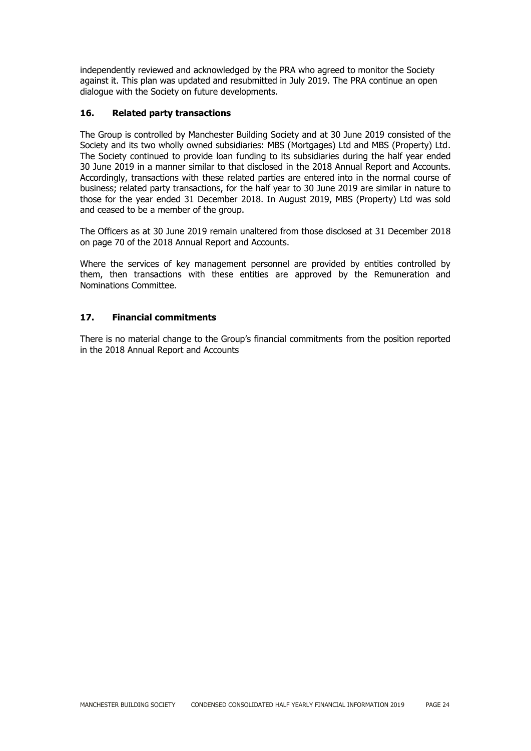independently reviewed and acknowledged by the PRA who agreed to monitor the Society against it. This plan was updated and resubmitted in July 2019. The PRA continue an open dialogue with the Society on future developments.

## **16. Related party transactions**

The Group is controlled by Manchester Building Society and at 30 June 2019 consisted of the Society and its two wholly owned subsidiaries: MBS (Mortgages) Ltd and MBS (Property) Ltd. The Society continued to provide loan funding to its subsidiaries during the half year ended 30 June 2019 in a manner similar to that disclosed in the 2018 Annual Report and Accounts. Accordingly, transactions with these related parties are entered into in the normal course of business; related party transactions, for the half year to 30 June 2019 are similar in nature to those for the year ended 31 December 2018. In August 2019, MBS (Property) Ltd was sold and ceased to be a member of the group.

The Officers as at 30 June 2019 remain unaltered from those disclosed at 31 December 2018 on page 70 of the 2018 Annual Report and Accounts.

Where the services of key management personnel are provided by entities controlled by them, then transactions with these entities are approved by the Remuneration and Nominations Committee.

## **17. Financial commitments**

There is no material change to the Group's financial commitments from the position reported in the 2018 Annual Report and Accounts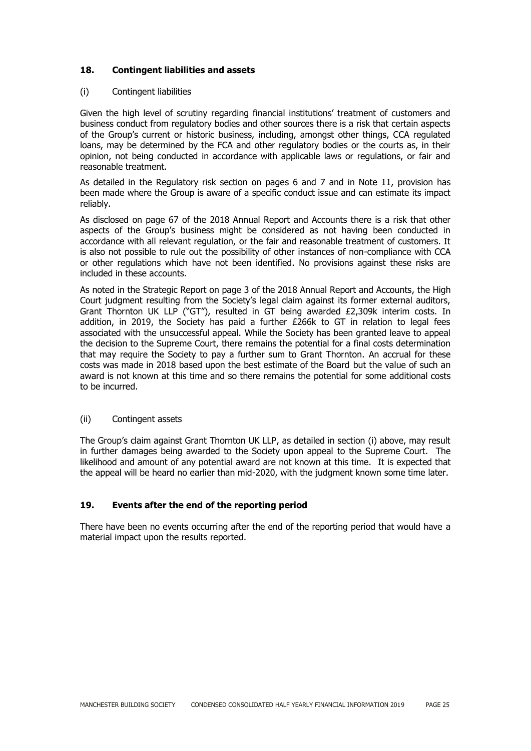## **18. Contingent liabilities and assets**

#### (i) Contingent liabilities

Given the high level of scrutiny regarding financial institutions' treatment of customers and business conduct from regulatory bodies and other sources there is a risk that certain aspects of the Group's current or historic business, including, amongst other things, CCA regulated loans, may be determined by the FCA and other regulatory bodies or the courts as, in their opinion, not being conducted in accordance with applicable laws or regulations, or fair and reasonable treatment.

As detailed in the Regulatory risk section on pages 6 and 7 and in Note 11, provision has been made where the Group is aware of a specific conduct issue and can estimate its impact reliably.

As disclosed on page 67 of the 2018 Annual Report and Accounts there is a risk that other aspects of the Group's business might be considered as not having been conducted in accordance with all relevant regulation, or the fair and reasonable treatment of customers. It is also not possible to rule out the possibility of other instances of non-compliance with CCA or other regulations which have not been identified. No provisions against these risks are included in these accounts.

As noted in the Strategic Report on page 3 of the 2018 Annual Report and Accounts, the High Court judgment resulting from the Society's legal claim against its former external auditors, Grant Thornton UK LLP ("GT"), resulted in GT being awarded £2,309k interim costs. In addition, in 2019, the Society has paid a further £266k to GT in relation to legal fees associated with the unsuccessful appeal. While the Society has been granted leave to appeal the decision to the Supreme Court, there remains the potential for a final costs determination that may require the Society to pay a further sum to Grant Thornton. An accrual for these costs was made in 2018 based upon the best estimate of the Board but the value of such an award is not known at this time and so there remains the potential for some additional costs to be incurred.

## (ii) Contingent assets

The Group's claim against Grant Thornton UK LLP, as detailed in section (i) above, may result in further damages being awarded to the Society upon appeal to the Supreme Court. The likelihood and amount of any potential award are not known at this time. It is expected that the appeal will be heard no earlier than mid-2020, with the judgment known some time later.

## **19. Events after the end of the reporting period**

There have been no events occurring after the end of the reporting period that would have a material impact upon the results reported.